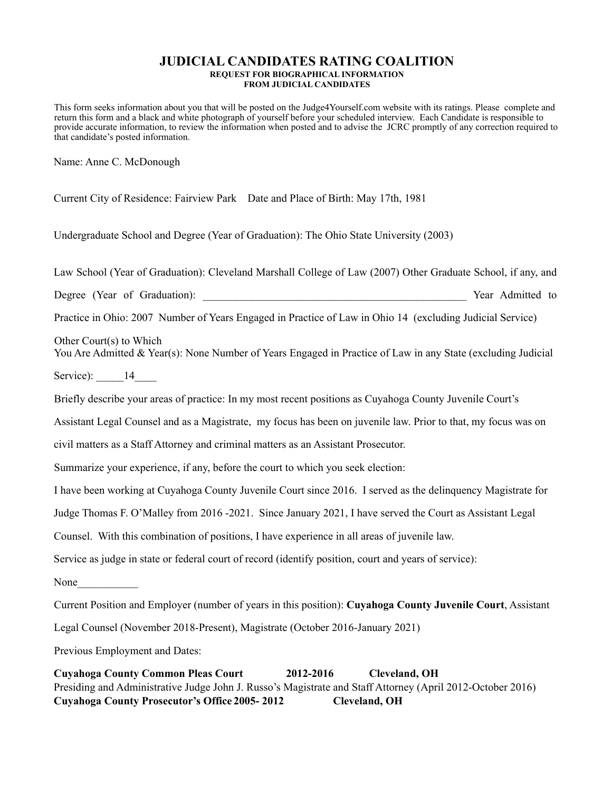## **JUDICIAL CANDIDATES RATING COALITION REQUEST FOR BIOGRAPHICAL INFORMATION FROM JUDICIAL CANDIDATES**

This form seeks information about you that will be posted on the Judge4Yourself.com website with its ratings. Please complete and return this form and a black and white photograph of yourself before your scheduled interview. Each Candidate is responsible to provide accurate information, to review the information when posted and to advise the JCRC promptly of any correction required to that candidate's posted information.

Name: Anne C. McDonough

Current City of Residence: Fairview Park Date and Place of Birth: May 17th, 1981

Undergraduate School and Degree (Year of Graduation): The Ohio State University (2003)

Law School (Year of Graduation): Cleveland Marshall College of Law (2007) Other Graduate School, if any, and

Degree (Year of Graduation): The Vear Admitted to Separate Security of Security 1986. The Vear Admitted to Security 1986.

Practice in Ohio: 2007 Number of Years Engaged in Practice of Law in Ohio 14 (excluding Judicial Service)

Other Court(s) to Which

You Are Admitted & Year(s): None Number of Years Engaged in Practice of Law in any State (excluding Judicial

Service):  $14$ 

Briefly describe your areas of practice: In my most recent positions as Cuyahoga County Juvenile Court's

Assistant Legal Counsel and as a Magistrate, my focus has been on juvenile law. Prior to that, my focus was on

civil matters as a Staff Attorney and criminal matters as an Assistant Prosecutor.

Summarize your experience, if any, before the court to which you seek election:

I have been working at Cuyahoga County Juvenile Court since 2016. I served as the delinquency Magistrate for

Judge Thomas F. O'Malley from 2016 -2021. Since January 2021, I have served the Court as Assistant Legal

Counsel. With this combination of positions, I have experience in all areas of juvenile law.

Service as judge in state or federal court of record (identify position, court and years of service):

None

Current Position and Employer (number of years in this position): **Cuyahoga County Juvenile Court**, Assistant

Legal Counsel (November 2018-Present), Magistrate (October 2016-January 2021)

Previous Employment and Dates:

**Cuyahoga County Common Pleas Court 2012-2016 Cleveland, OH** Presiding and Administrative Judge John J. Russo's Magistrate and Staff Attorney (April 2012-October 2016) **Cuyahoga County Prosecutor's Office 2005- 2012 Cleveland, OH**